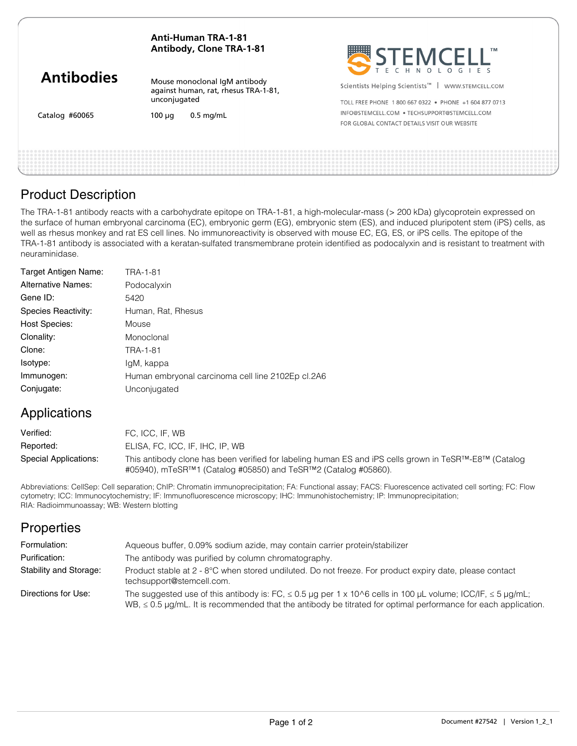### **Anti-Human TRA-1-81 Antibody, Clone TRA-1-81**

| <b>Antibodies</b> |  |
|-------------------|--|
|-------------------|--|

Catalog #60065

Mouse monoclonal IgM antibody against human, rat, rhesus TRA-1-81, unconjugated

 $100 \mu q$  0.5 mg/mL

Scientists Helping Scientists<sup>™</sup> | WWW.STEMCELL.COM

TOLL FREE PHONE 1 800 667 0322 · PHONE +1 604 877 0713 INFO@STEMCELL.COM .TECHSUPPORT@STEMCELL.COM FOR GLOBAL CONTACT DETAILS VISIT OUR WEBSITE

# Product Description

The TRA-1-81 antibody reacts with a carbohydrate epitope on TRA-1-81, a high-molecular-mass (> 200 kDa) glycoprotein expressed on the surface of human embryonal carcinoma (EC), embryonic germ (EG), embryonic stem (ES), and induced pluripotent stem (iPS) cells, as well as rhesus monkey and rat ES cell lines. No immunoreactivity is observed with mouse EC, EG, ES, or iPS cells. The epitope of the TRA-1-81 antibody is associated with a keratan-sulfated transmembrane protein identified as podocalyxin and is resistant to treatment with neuraminidase.

| Target Antigen Name:      | TRA-1-81                                          |
|---------------------------|---------------------------------------------------|
| <b>Alternative Names:</b> | Podocalyxin                                       |
| Gene ID:                  | 5420                                              |
| Species Reactivity:       | Human, Rat, Rhesus                                |
| Host Species:             | Mouse                                             |
| Clonality:                | Monoclonal                                        |
| Clone:                    | TRA-1-81                                          |
| Isotype:                  | lgM, kappa                                        |
| Immunogen:                | Human embryonal carcinoma cell line 2102Ep cl.2A6 |
| Conjugate:                | Unconjugated                                      |

# Applications

| Verified:             | FC. ICC. IF. WB                                                                                                                                                                                    |
|-----------------------|----------------------------------------------------------------------------------------------------------------------------------------------------------------------------------------------------|
| Reported:             | ELISA, FC, ICC, IF, IHC, IP, WB                                                                                                                                                                    |
| Special Applications: | This antibody clone has been verified for labeling human ES and iPS cells grown in TeSR <sup>TM</sup> -E8 <sup>TM</sup> (Catalog<br>#05940), mTeSR™1 (Catalog #05850) and TeSR™2 (Catalog #05860). |

Abbreviations: CellSep: Cell separation; ChIP: Chromatin immunoprecipitation; FA: Functional assay; FACS: Fluorescence activated cell sorting; FC: Flow cytometry; ICC: Immunocytochemistry; IF: Immunofluorescence microscopy; IHC: Immunohistochemistry; IP: Immunoprecipitation; RIA: Radioimmunoassay; WB: Western blotting

| <b>Properties</b>      |                                                                                                                                                                                                                                              |
|------------------------|----------------------------------------------------------------------------------------------------------------------------------------------------------------------------------------------------------------------------------------------|
| Formulation:           | Aqueous buffer, 0.09% sodium azide, may contain carrier protein/stabilizer                                                                                                                                                                   |
| Purification:          | The antibody was purified by column chromatography.                                                                                                                                                                                          |
| Stability and Storage: | Product stable at 2 - 8°C when stored undiluted. Do not freeze. For product expiry date, please contact<br>techsupport@stemcell.com.                                                                                                         |
| Directions for Use:    | The suggested use of this antibody is: FC, $\leq 0.5$ µg per 1 x 10^6 cells in 100 µL volume; ICC/IF, $\leq 5$ µg/mL;<br>WB, $\leq$ 0.5 µg/mL. It is recommended that the antibody be titrated for optimal performance for each application. |